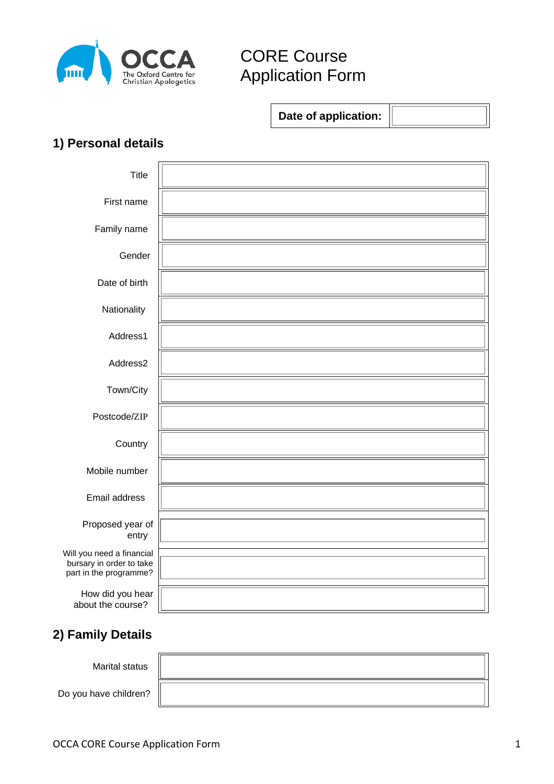

# CORE Course Application Form

**Date of application:**

### **1) Personal details**

| Title                                                                           |  |
|---------------------------------------------------------------------------------|--|
| First name                                                                      |  |
| Family name                                                                     |  |
| Gender                                                                          |  |
| Date of birth                                                                   |  |
| Nationality                                                                     |  |
| Address1                                                                        |  |
| Address2                                                                        |  |
| Town/City                                                                       |  |
| Postcode/ZIP                                                                    |  |
| Country                                                                         |  |
| Mobile number                                                                   |  |
| Email address                                                                   |  |
| Proposed year of<br>entry                                                       |  |
| Will you need a financial<br>bursary in order to take<br>part in the programme? |  |
| How did you hear<br>about the course?                                           |  |

#### **2) Family Details**

Marital status

Do you have children?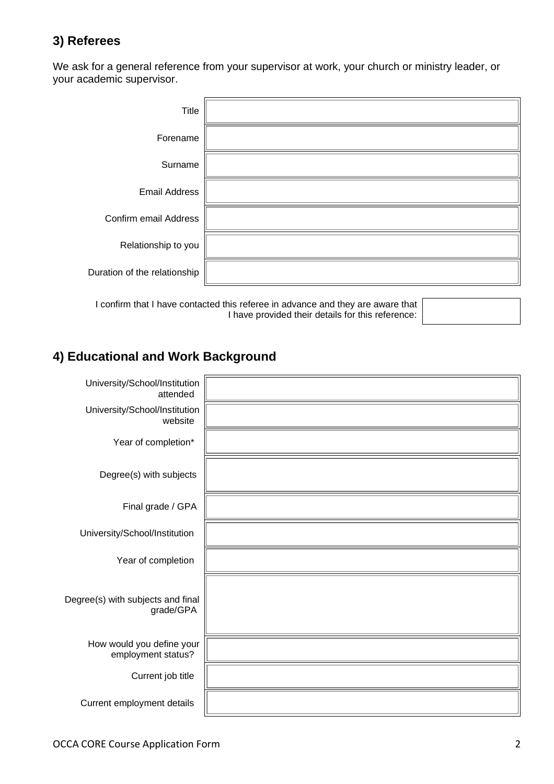#### **3) Referees**

We ask for a general reference from your supervisor at work, your church or ministry leader, or your academic supervisor.

| Title                        |  |
|------------------------------|--|
| Forename                     |  |
| Surname                      |  |
| <b>Email Address</b>         |  |
| Confirm email Address        |  |
| Relationship to you          |  |
| Duration of the relationship |  |

I confirm that I have contacted this referee in advance and they are aware that I have provided their details for this reference:

#### **4) Educational and Work Background**

| University/School/Institution<br>attended       |  |
|-------------------------------------------------|--|
| University/School/Institution<br>website        |  |
| Year of completion*                             |  |
| Degree(s) with subjects                         |  |
| Final grade / GPA                               |  |
| University/School/Institution                   |  |
| Year of completion                              |  |
| Degree(s) with subjects and final<br>grade/GPA  |  |
| How would you define your<br>employment status? |  |
| Current job title                               |  |
| Current employment details                      |  |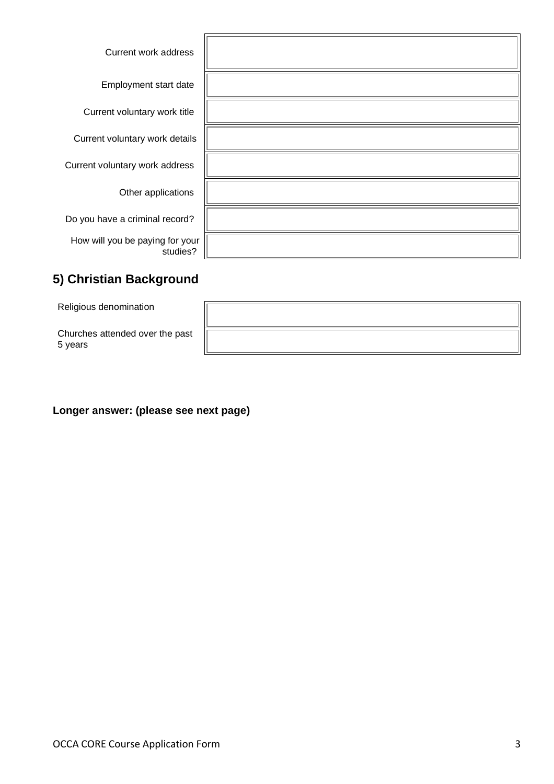| <b>Current work address</b>                 |  |
|---------------------------------------------|--|
| Employment start date                       |  |
| Current voluntary work title                |  |
| Current voluntary work details              |  |
| Current voluntary work address              |  |
| Other applications                          |  |
| Do you have a criminal record?              |  |
| How will you be paying for your<br>studies? |  |

## **5) Christian Background**

Religious denomination

Churches attended over the past 5 years

**Longer answer: (please see next page)**